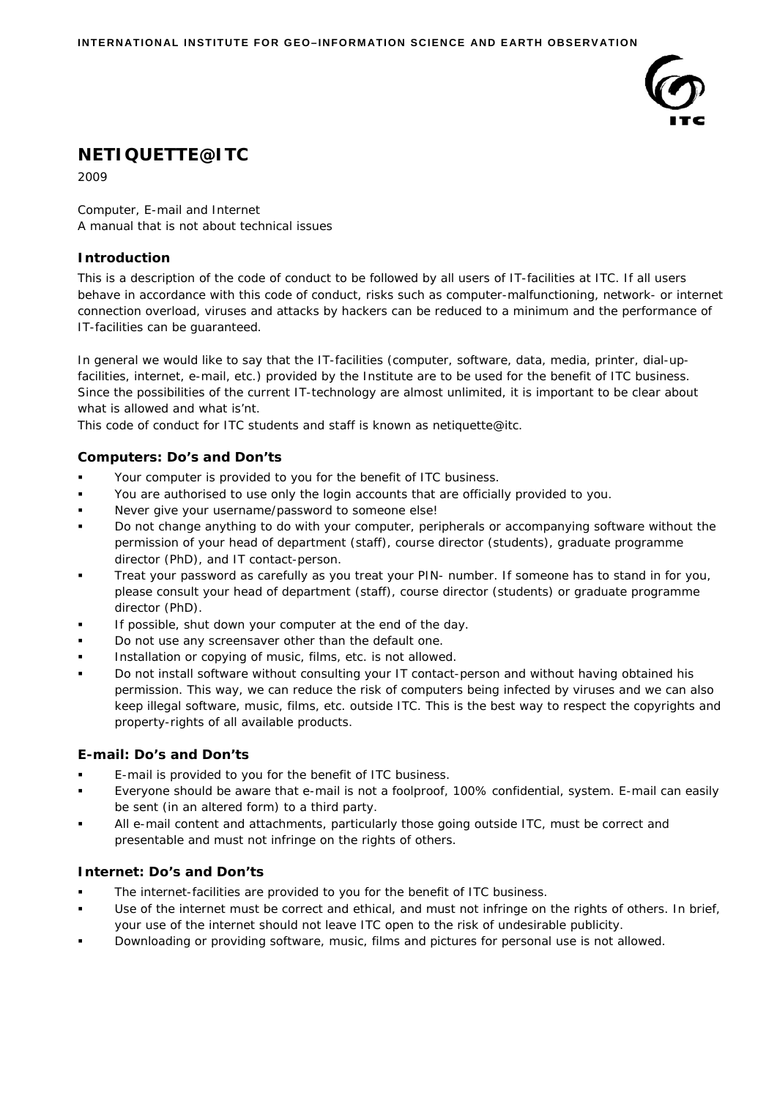

# **NETIQUETTE@ITC**

2009

*Computer, E-mail and Internet*  A manual that is not about technical issues

# **Introduction**

This is a description of the code of conduct to be followed by all users of IT-facilities at ITC. If all users behave in accordance with this code of conduct, risks such as computer-malfunctioning, network- or internet connection overload, viruses and attacks by hackers can be reduced to a minimum and the performance of IT-facilities can be guaranteed.

In general we would like to say that the IT-facilities (computer, software, data, media, printer, dial-upfacilities, internet, e-mail, etc.) provided by the Institute are to be used for the benefit of ITC business. Since the possibilities of the current IT-technology are almost unlimited, it is important to be clear about what is allowed and what is'nt.

This code of conduct for ITC students and staff is known as netiquette@itc.

# **Computers: Do's and Don'ts**

- Your computer is provided to you for the benefit of ITC business.
- You are authorised to use only the login accounts that are officially provided to you.
- Never give your username/password to someone else!
- Do not change anything to do with your computer, peripherals or accompanying software without the permission of your head of department (staff), course director (students), graduate programme director (PhD), and IT contact-person.
- Treat your password as carefully as you treat your PIN- number. If someone has to stand in for you, please consult your head of department (staff), course director (students) or graduate programme director (PhD).
- If possible, shut down your computer at the end of the day.
- Do not use any screensaver other than the default one.
- Installation or copying of music, films, etc. is not allowed.
- Do not install software without consulting your IT contact-person and without having obtained his permission. This way, we can reduce the risk of computers being infected by viruses and we can also keep illegal software, music, films, etc. outside ITC. This is the best way to respect the copyrights and property-rights of all available products.

## **E-mail: Do's and Don'ts**

- E-mail is provided to you for the benefit of ITC business.
- Everyone should be aware that e-mail is not a foolproof, 100% confidential, system. E-mail can easily be sent (in an altered form) to a third party.
- All e-mail content and attachments, particularly those going outside ITC, must be correct and presentable and must not infringe on the rights of others.

# **Internet: Do's and Don'ts**

- The internet-facilities are provided to you for the benefit of ITC business.
- Use of the internet must be correct and ethical, and must not infringe on the rights of others. In brief, your use of the internet should not leave ITC open to the risk of undesirable publicity.
- Downloading or providing software, music, films and pictures for personal use is not allowed.